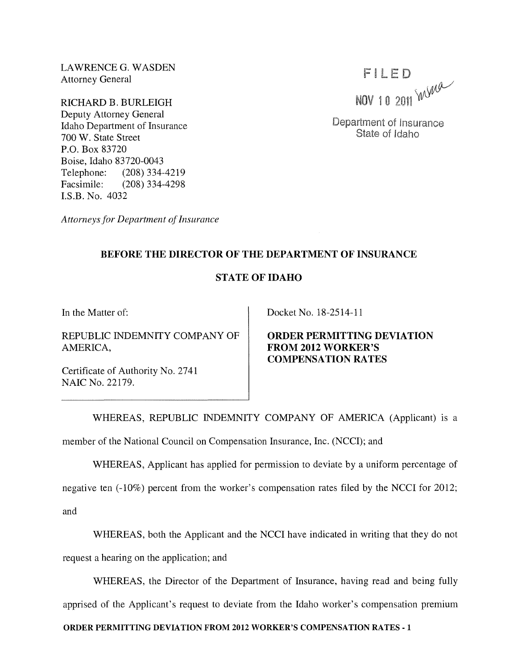LAWRENCE G. WASDEN Attorney General

RICHARD B. BURLEIGH Deputy Attorney General Idaho Department of Insurance 700 W. State Street P.O. Box 83720 Boise, Idaho 83720-0043 Telephone: (208) 334-4219<br>Facsimile: (208) 334-4298 (208) 334-4298 I.S.B. No. 4032

FILED NOV 10 2011  $W$ 

Department of Insurance State of Idaho

*Attorneys for Department of Insurance* 

## **BEFORE THE DIRECTOR OF THE DEPARTMENT OF INSURANCE**

## STATE OF IDAHO

**In** the Matter of:

REPUBLIC INDEMNITY COMPANY OF AMERICA,

Certificate of Authority No. 2741 NAIC No. 22179.

Docket No. 18-2514-11

**ORDER PERMITTING DEVIATION FROM 2012 WORKER'S COMPENSATION RATES** 

WHEREAS, REPUBLIC INDEMNITY COMPANY OF AMERICA (Applicant) is a

member of the National Council on Compensation Insurance, Inc. (NCCI); and

WHEREAS, Applicant has applied for permission to deviate by a uniform percentage of

negative ten (-10%) percent from the worker's compensation rates filed by the NCCI for 2012; and

WHEREAS, both the Applicant and the NCCI have indicated in writing that they do not request a hearing on the application; and

WHEREAS, the Director of the Department of Insurance, having read and being fully apprised of the Applicant's request to deviate from the Idaho worker's compensation premium

**ORDER PERMITTING DEVIATION FROM 2012 WORKER'S COMPENSATION RATES-l**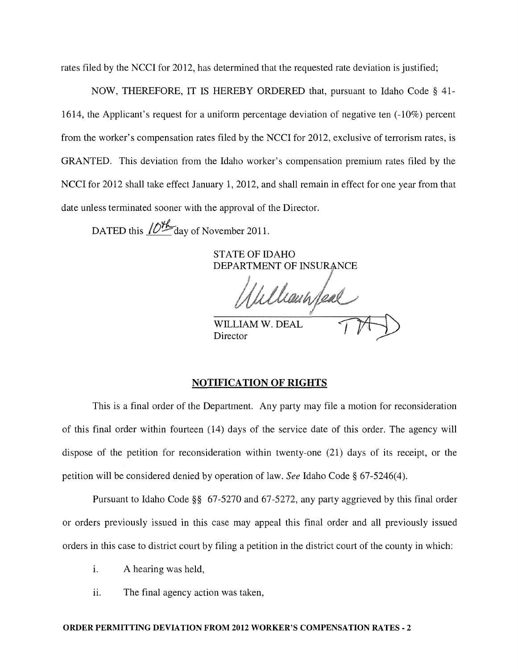rates filed by the NCCI for 2012, has determined that the requested rate deviation is justified;

NOW, THEREFORE, IT IS HEREBY ORDERED that, pursuant to Idaho Code § 41- 1614, the Applicant's request for a uniform percentage deviation of negative ten (-10%) percent from the worker's compensation rates filed by the NCCI for 2012, exclusive of terrorism rates, is GRANTED. This deviation from the Idaho worker's compensation premium rates filed by the NCCI for 2012 shall take effect January 1, 2012, and shall remain in effect for one year from that date unless terminated sooner with the approval of the Director.

DATED this  $\sqrt{D_{\text{max}}^{\mu}}$  day of November 2011.

STATE OF IDAHO DEPARTMENT OF INSUR

haunfeal

WILLIAM W. DEAL Director

## NOTIFICATION OF RIGHTS

This is a final order of the Department. Any party may file a motion for reconsideration of this final order within fourteen (14) days of the service date of this order. The agency will dispose of the petition for reconsideration within twenty-one (21) days of its receipt, or the petition will be considered denied by operation of law. *See* Idaho Code § 67-5246(4).

Pursuant to Idaho Code §§ 67-5270 and 67-5272, any party aggrieved by this final order or orders previously issued in this case may appeal this final order and all previously issued orders in this case to district court by filing a petition in the district court of the county in which:

- i. A hearing was held,
- ii. The final agency action was taken,